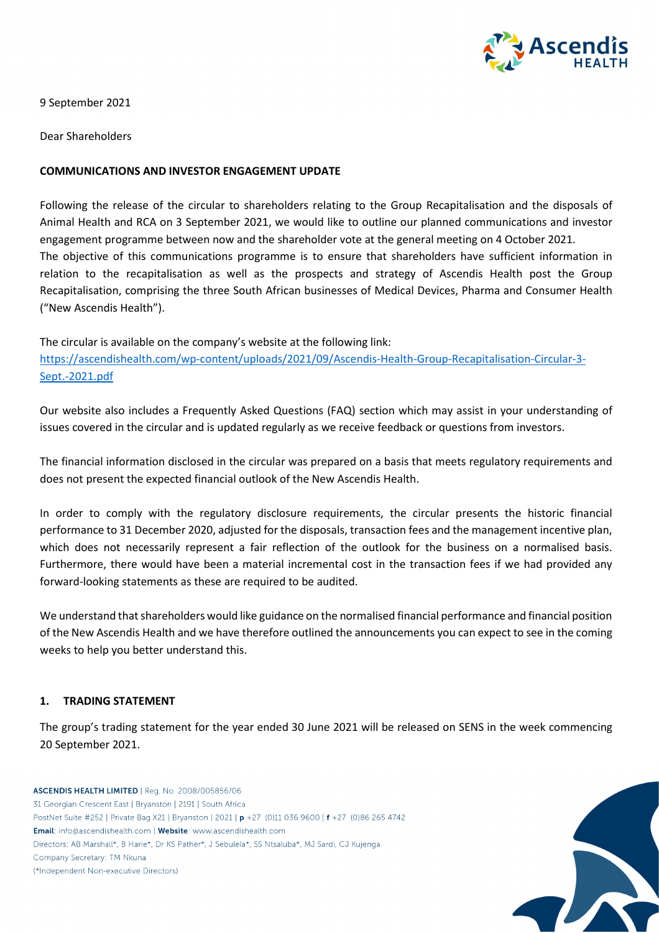

9 September 2021

Dear Shareholders

### **COMMUNICATIONS AND INVESTOR ENGAGEMENT UPDATE**

Following the release of the circular to shareholders relating to the Group Recapitalisation and the disposals of Animal Health and RCA on 3 September 2021, we would like to outline our planned communications and investor engagement programme between now and the shareholder vote at the general meeting on 4 October 2021. The objective of this communications programme is to ensure that shareholders have sufficient information in relation to the recapitalisation as well as the prospects and strategy of Ascendis Health post the Group Recapitalisation, comprising the three South African businesses of Medical Devices, Pharma and Consumer Health ("New Ascendis Health").

The circular is available on the company's website at the following link: [https://ascendishealth.com/wp-content/uploads/2021/09/Ascendis-Health-Group-Recapitalisation-Circular-3-](https://ascendishealth.com/wp-content/uploads/2021/09/Ascendis-Health-Group-Recapitalisation-Circular-3-Sept.-2021.pdf) [Sept.-2021.pdf](https://ascendishealth.com/wp-content/uploads/2021/09/Ascendis-Health-Group-Recapitalisation-Circular-3-Sept.-2021.pdf)

Our website also includes a Frequently Asked Questions (FAQ) section which may assist in your understanding of issues covered in the circular and is updated regularly as we receive feedback or questions from investors.

The financial information disclosed in the circular was prepared on a basis that meets regulatory requirements and does not present the expected financial outlook of the New Ascendis Health.

In order to comply with the regulatory disclosure requirements, the circular presents the historic financial performance to 31 December 2020, adjusted for the disposals, transaction fees and the management incentive plan, which does not necessarily represent a fair reflection of the outlook for the business on a normalised basis. Furthermore, there would have been a material incremental cost in the transaction fees if we had provided any forward-looking statements as these are required to be audited.

We understand that shareholders would like guidance on the normalised financial performance and financial position of the New Ascendis Health and we have therefore outlined the announcements you can expect to see in the coming weeks to help you better understand this.

### **1. TRADING STATEMENT**

The group's trading statement for the year ended 30 June 2021 will be released on SENS in the week commencing 20 September 2021.

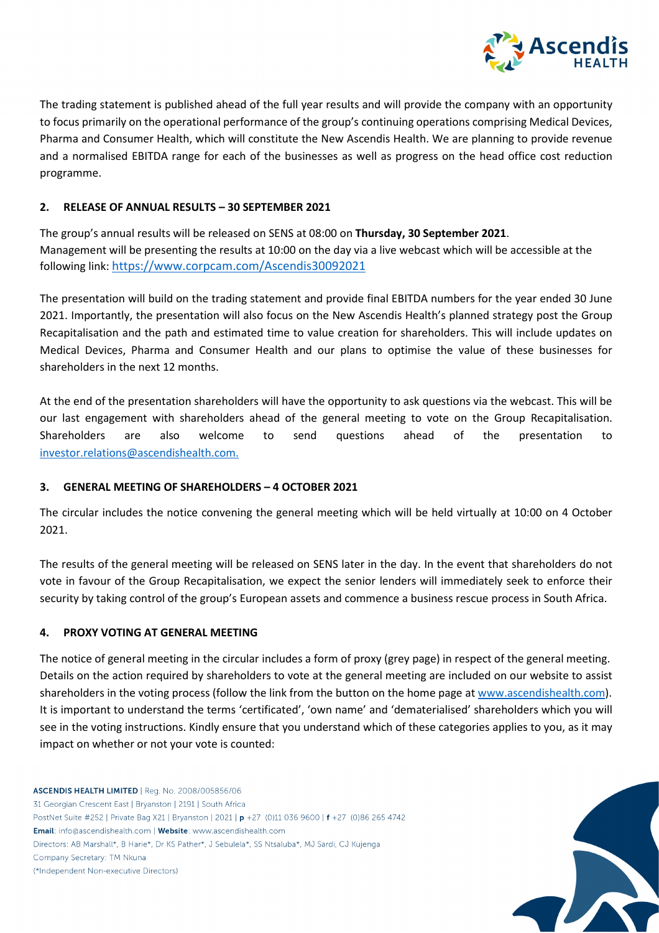

The trading statement is published ahead of the full year results and will provide the company with an opportunity to focus primarily on the operational performance of the group's continuing operations comprising Medical Devices, Pharma and Consumer Health, which will constitute the New Ascendis Health. We are planning to provide revenue and a normalised EBITDA range for each of the businesses as well as progress on the head office cost reduction programme.

## **2. RELEASE OF ANNUAL RESULTS – 30 SEPTEMBER 2021**

The group's annual results will be released on SENS at 08:00 on **Thursday, 30 September 2021**. Management will be presenting the results at 10:00 on the day via a live webcast which will be accessible at the following link: [https://www.corpcam.com/Ascendis30092021](https://protect-za.mimecast.com/s/S8JmC1jqOxHZzKJupWqQA?domain=corpcam.com)

The presentation will build on the trading statement and provide final EBITDA numbers for the year ended 30 June 2021. Importantly, the presentation will also focus on the New Ascendis Health's planned strategy post the Group Recapitalisation and the path and estimated time to value creation for shareholders. This will include updates on Medical Devices, Pharma and Consumer Health and our plans to optimise the value of these businesses for shareholders in the next 12 months.

At the end of the presentation shareholders will have the opportunity to ask questions via the webcast. This will be our last engagement with shareholders ahead of the general meeting to vote on the Group Recapitalisation. Shareholders are also welcome to send questions ahead of the presentation to [investor.relations@ascendishealth.com.](mailto:investor.relations@ascendishealth.com)

### **3. GENERAL MEETING OF SHAREHOLDERS – 4 OCTOBER 2021**

The circular includes the notice convening the general meeting which will be held virtually at 10:00 on 4 October 2021.

The results of the general meeting will be released on SENS later in the day. In the event that shareholders do not vote in favour of the Group Recapitalisation, we expect the senior lenders will immediately seek to enforce their security by taking control of the group's European assets and commence a business rescue process in South Africa.

# **4. PROXY VOTING AT GENERAL MEETING**

The notice of general meeting in the circular includes a form of proxy (grey page) in respect of the general meeting. Details on the action required by shareholders to vote at the general meeting are included on our website to assist shareholders in the voting process (follow the link from the button on the home page a[t www.ascendishealth.com\)](http://www.ascendishealth.com/). It is important to understand the terms 'certificated', 'own name' and 'dematerialised' shareholders which you will see in the voting instructions. Kindly ensure that you understand which of these categories applies to you, as it may impact on whether or not your vote is counted:

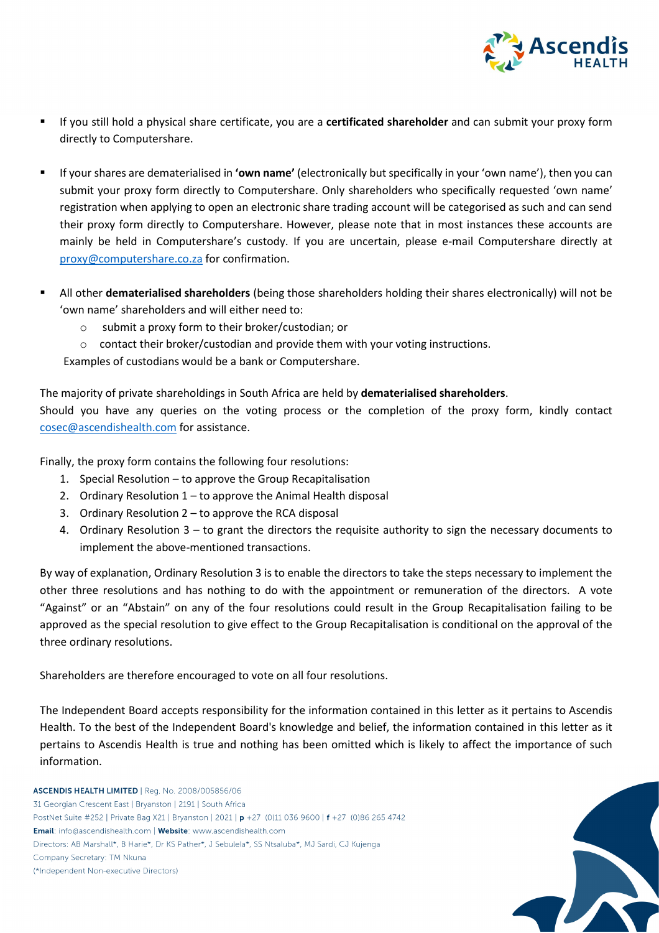

- If you still hold a physical share certificate, you are a **certificated shareholder** and can submit your proxy form directly to Computershare.
- If your shares are dematerialised in **'own name'** (electronically but specifically in your 'own name'), then you can submit your proxy form directly to Computershare. Only shareholders who specifically requested 'own name' registration when applying to open an electronic share trading account will be categorised as such and can send their proxy form directly to Computershare. However, please note that in most instances these accounts are mainly be held in Computershare's custody. If you are uncertain, please e-mail Computershare directly at [proxy@computershare.co.za](mailto:proxy@computershare.co.za) for confirmation.
- All other **dematerialised shareholders** (being those shareholders holding their shares electronically) will not be 'own name' shareholders and will either need to:
	- o submit a proxy form to their broker/custodian; or
	- o contact their broker/custodian and provide them with your voting instructions.

Examples of custodians would be a bank or Computershare.

The majority of private shareholdings in South Africa are held by **dematerialised shareholders**. Should you have any queries on the voting process or the completion of the proxy form, kindly contact [cosec@ascendishealth.com](mailto:cosec@ascendishealth.com) for assistance.

Finally, the proxy form contains the following four resolutions:

- 1. Special Resolution to approve the Group Recapitalisation
- 2. Ordinary Resolution 1 to approve the Animal Health disposal
- 3. Ordinary Resolution 2 to approve the RCA disposal
- 4. Ordinary Resolution 3 to grant the directors the requisite authority to sign the necessary documents to implement the above-mentioned transactions.

By way of explanation, Ordinary Resolution 3 is to enable the directors to take the steps necessary to implement the other three resolutions and has nothing to do with the appointment or remuneration of the directors. A vote "Against" or an "Abstain" on any of the four resolutions could result in the Group Recapitalisation failing to be approved as the special resolution to give effect to the Group Recapitalisation is conditional on the approval of the three ordinary resolutions.

Shareholders are therefore encouraged to vote on all four resolutions.

The Independent Board accepts responsibility for the information contained in this letter as it pertains to Ascendis Health. To the best of the Independent Board's knowledge and belief, the information contained in this letter as it pertains to Ascendis Health is true and nothing has been omitted which is likely to affect the importance of such information.